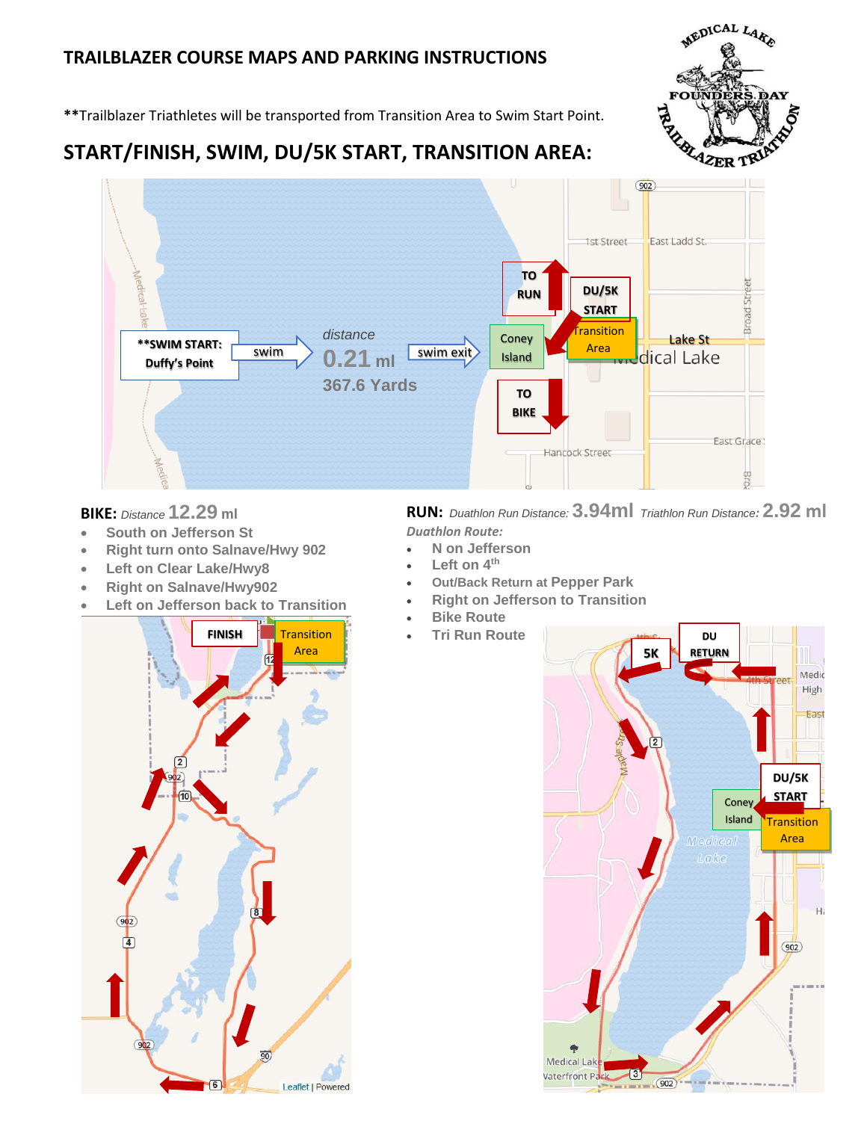## **TRAILBLAZER COURSE MAPS AND PARKING INSTRUCTIONS**



**\*\***Trailblazer Triathletes will be transported from Transition Area to Swim Start Point.

## **START/FINISH, SWIM, DU/5K START, TRANSITION AREA:**



## **BIKE:** *Distance* **12.29 ml**

- **South on Jefferson St**
- **Right turn onto Salnave/Hwy 902**
- **Left on Clear Lake/Hwy8**
- **Right on Salnave/Hwy902**
- **Left on Jefferson back to Transition**

**RUN:** *Duathlon Run Distance:* **3.94ml** *Triathlon Run Distance:* **2.92 ml**  *Duathlon Route:*

- **N on Jefferson**
	- **Left on 4th**
- **Out/Back Return at Pepper Park**
- **Right on Jefferson to Transition**
- **Bike Route**
- **Tri Run Route**